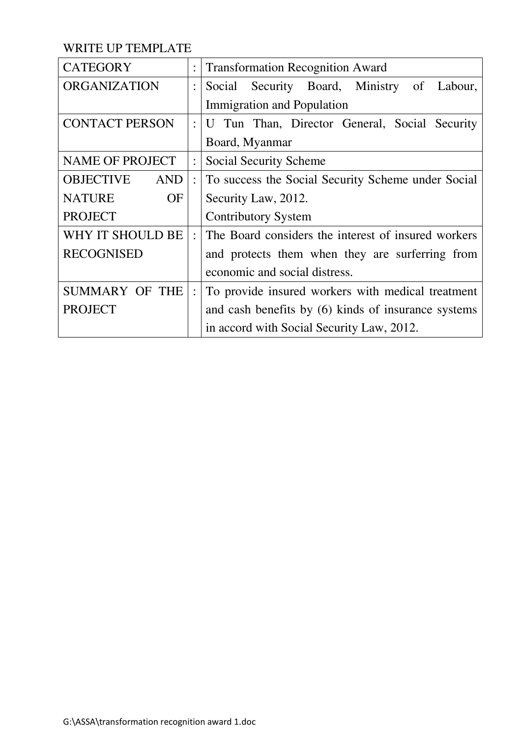WRITE UP TEMPLATE

| <b>CATEGORY</b>                | $\ddot{\cdot}$       | <b>Transformation Recognition Award</b>             |
|--------------------------------|----------------------|-----------------------------------------------------|
| <b>ORGANIZATION</b>            |                      | Security Board, Ministry<br>of Labour,<br>Social    |
|                                |                      | <b>Immigration and Population</b>                   |
| <b>CONTACT PERSON</b>          | $\ddot{\phantom{0}}$ | U Tun Than, Director General, Social Security       |
|                                |                      | Board, Myanmar                                      |
| <b>NAME OF PROJECT</b>         | $\ddot{\cdot}$       | Social Security Scheme                              |
| <b>OBJECTIVE</b><br><b>AND</b> | $\ddot{\cdot}$       | To success the Social Security Scheme under Social  |
| <b>NATURE</b><br><b>OF</b>     |                      | Security Law, 2012.                                 |
| <b>PROJECT</b>                 |                      | <b>Contributory System</b>                          |
| WHY IT SHOULD BE               | $\ddot{\cdot}$       | The Board considers the interest of insured workers |
| <b>RECOGNISED</b>              |                      | and protects them when they are surferring from     |
|                                |                      | economic and social distress.                       |
| <b>SUMMARY OF THE</b>          | $\ddot{\cdot}$       | To provide insured workers with medical treatment   |
| <b>PROJECT</b>                 |                      | and cash benefits by (6) kinds of insurance systems |
|                                |                      | in accord with Social Security Law, 2012.           |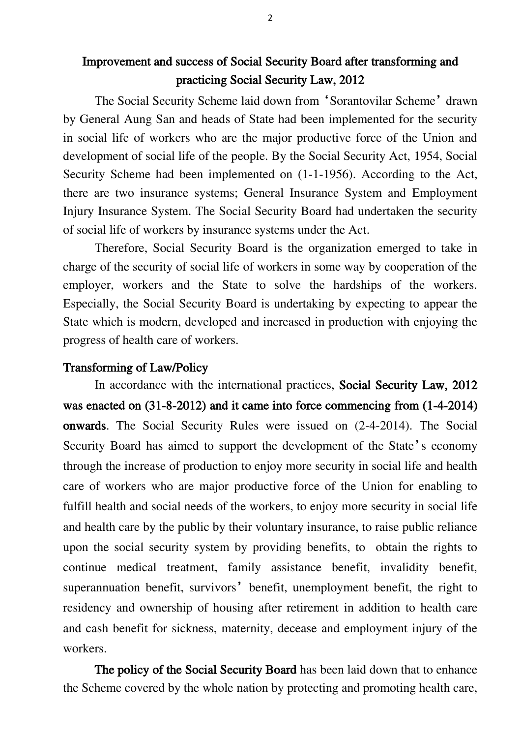# Improvement and success of Social Security Board after transforming and practicing Social Security Law, 2012

The Social Security Scheme laid down from 'Sorantovilar Scheme' drawn by General Aung San and heads of State had been implemented for the security in social life of workers who are the major productive force of the Union and development of social life of the people. By the Social Security Act, 1954, Social Security Scheme had been implemented on (1-1-1956). According to the Act, there are two insurance systems; General Insurance System and Employment Injury Insurance System. The Social Security Board had undertaken the security of social life of workers by insurance systems under the Act.

Therefore, Social Security Board is the organization emerged to take in charge of the security of social life of workers in some way by cooperation of the employer, workers and the State to solve the hardships of the workers. Especially, the Social Security Board is undertaking by expecting to appear the State which is modern, developed and increased in production with enjoying the progress of health care of workers.

# Transforming of Law/Policy

In accordance with the international practices, Social Security Law, 2012 was enacted on (31-8-2012) and it came into force commencing from (1-4-2014) onwards. The Social Security Rules were issued on (2-4-2014). The Social Security Board has aimed to support the development of the State's economy through the increase of production to enjoy more security in social life and health care of workers who are major productive force of the Union for enabling to fulfill health and social needs of the workers, to enjoy more security in social life and health care by the public by their voluntary insurance, to raise public reliance upon the social security system by providing benefits, to obtain the rights to continue medical treatment, family assistance benefit, invalidity benefit, superannuation benefit, survivors' benefit, unemployment benefit, the right to residency and ownership of housing after retirement in addition to health care and cash benefit for sickness, maternity, decease and employment injury of the workers.

The policy of the Social Security Board has been laid down that to enhance the Scheme covered by the whole nation by protecting and promoting health care,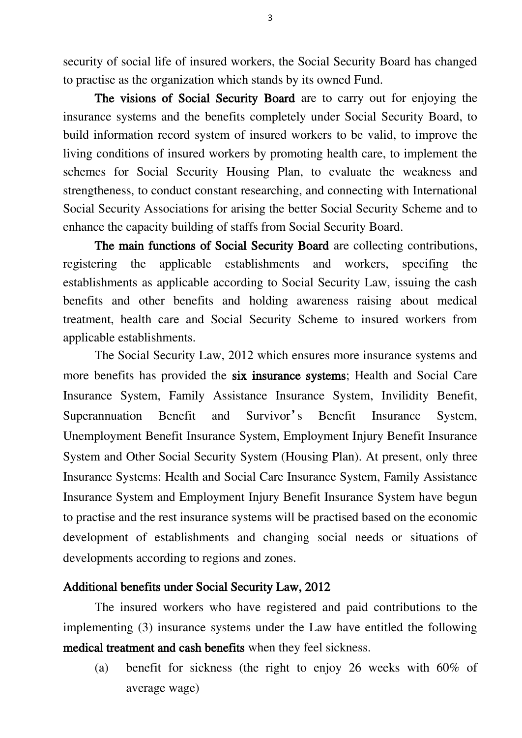security of social life of insured workers, the Social Security Board has changed to practise as the organization which stands by its owned Fund.

The visions of Social Security Board are to carry out for enjoying the insurance systems and the benefits completely under Social Security Board, to build information record system of insured workers to be valid, to improve the living conditions of insured workers by promoting health care, to implement the schemes for Social Security Housing Plan, to evaluate the weakness and strengtheness, to conduct constant researching, and connecting with International Social Security Associations for arising the better Social Security Scheme and to enhance the capacity building of staffs from Social Security Board.

The main functions of Social Security Board are collecting contributions, registering the applicable establishments and workers, specifing the establishments as applicable according to Social Security Law, issuing the cash benefits and other benefits and holding awareness raising about medical treatment, health care and Social Security Scheme to insured workers from applicable establishments.

The Social Security Law, 2012 which ensures more insurance systems and more benefits has provided the six insurance systems; Health and Social Care Insurance System, Family Assistance Insurance System, Invilidity Benefit, Superannuation Benefit and Survivor's Benefit Insurance System, Unemployment Benefit Insurance System, Employment Injury Benefit Insurance System and Other Social Security System (Housing Plan). At present, only three Insurance Systems: Health and Social Care Insurance System, Family Assistance Insurance System and Employment Injury Benefit Insurance System have begun to practise and the rest insurance systems will be practised based on the economic development of establishments and changing social needs or situations of developments according to regions and zones.

#### Additional benefits under Social Security Law, 2012

The insured workers who have registered and paid contributions to the implementing (3) insurance systems under the Law have entitled the following medical treatment and cash benefits when they feel sickness.

(a) benefit for sickness (the right to enjoy 26 weeks with 60% of average wage)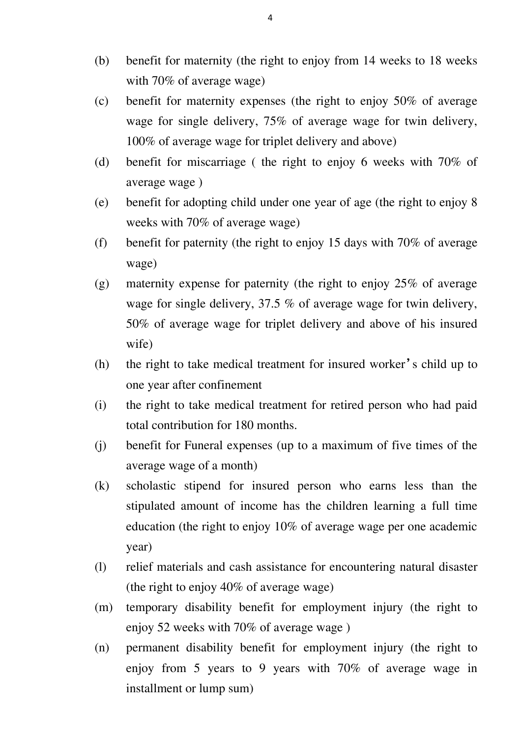- (b) benefit for maternity (the right to enjoy from 14 weeks to 18 weeks with 70% of average wage)
- (c) benefit for maternity expenses (the right to enjoy 50% of average wage for single delivery, 75% of average wage for twin delivery, 100% of average wage for triplet delivery and above)
- (d) benefit for miscarriage ( the right to enjoy 6 weeks with 70% of average wage )
- (e) benefit for adopting child under one year of age (the right to enjoy 8 weeks with 70% of average wage)
- (f) benefit for paternity (the right to enjoy 15 days with 70% of average wage)
- (g) maternity expense for paternity (the right to enjoy 25% of average wage for single delivery, 37.5 % of average wage for twin delivery, 50% of average wage for triplet delivery and above of his insured wife)
- (h) the right to take medical treatment for insured worker's child up to one year after confinement
- (i) the right to take medical treatment for retired person who had paid total contribution for 180 months.
- (j) benefit for Funeral expenses (up to a maximum of five times of the average wage of a month)
- (k) scholastic stipend for insured person who earns less than the stipulated amount of income has the children learning a full time education (the right to enjoy 10% of average wage per one academic year)
- (l) relief materials and cash assistance for encountering natural disaster (the right to enjoy 40% of average wage)
- (m) temporary disability benefit for employment injury (the right to enjoy 52 weeks with 70% of average wage )
- (n) permanent disability benefit for employment injury (the right to enjoy from 5 years to 9 years with 70% of average wage in installment or lump sum)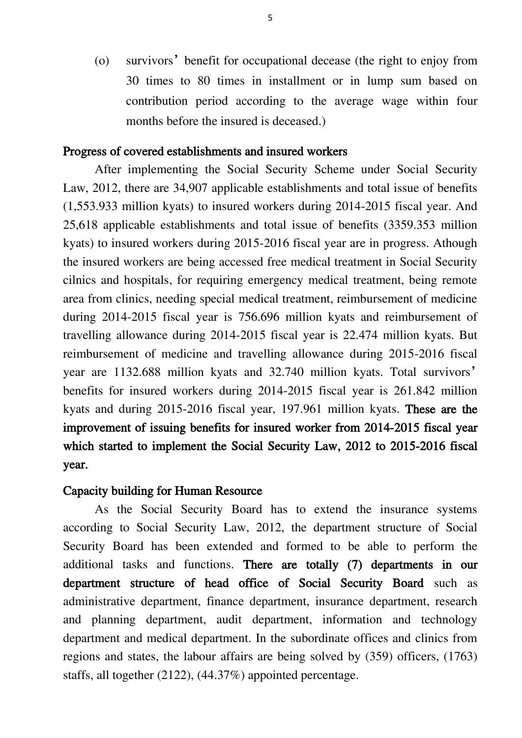(o) survivors' benefit for occupational decease (the right to enjoy from 30 times to 80 times in installment or in lump sum based on contribution period according to the average wage within four months before the insured is deceased.)

#### Progress of covered establishments and insured workers

After implementing the Social Security Scheme under Social Security Law, 2012, there are 34,907 applicable establishments and total issue of benefits (1,553.933 million kyats) to insured workers during 2014-2015 fiscal year. And 25,618 applicable establishments and total issue of benefits (3359.353 million kyats) to insured workers during 2015-2016 fiscal year are in progress. Athough the insured workers are being accessed free medical treatment in Social Security cilnics and hospitals, for requiring emergency medical treatment, being remote area from clinics, needing special medical treatment, reimbursement of medicine during 2014-2015 fiscal year is 756.696 million kyats and reimbursement of travelling allowance during 2014-2015 fiscal year is 22.474 million kyats. But reimbursement of medicine and travelling allowance during 2015-2016 fiscal year are 1132.688 million kyats and 32.740 million kyats. Total survivors' benefits for insured workers during 2014-2015 fiscal year is 261.842 million kyats and during 2015-2016 fiscal year, 197.961 million kyats. These are the improvement of issuing benefits for insured worker from 2014-2015 fiscal year which started to implement the Social Security Law, 2012 to 2015-2016 fiscal year.

#### Capacity building for Human Resource

As the Social Security Board has to extend the insurance systems according to Social Security Law, 2012, the department structure of Social Security Board has been extended and formed to be able to perform the additional tasks and functions. There are totally (7) departments in our department structure of head office of Social Security Board such as administrative department, finance department, insurance department, research and planning department, audit department, information and technology department and medical department. In the subordinate offices and clinics from regions and states, the labour affairs are being solved by (359) officers, (1763) staffs, all together (2122), (44.37%) appointed percentage.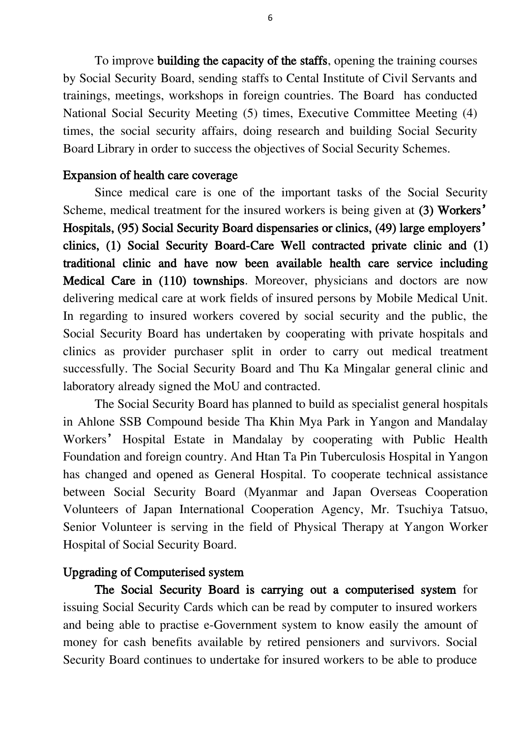To improve building the capacity of the staffs, opening the training courses by Social Security Board, sending staffs to Cental Institute of Civil Servants and trainings, meetings, workshops in foreign countries. The Board has conducted National Social Security Meeting (5) times, Executive Committee Meeting (4) times, the social security affairs, doing research and building Social Security Board Library in order to success the objectives of Social Security Schemes.

# Expansion of health care coverage

Since medical care is one of the important tasks of the Social Security Scheme, medical treatment for the insured workers is being given at (3) Workers' Hospitals, (95) Social Security Board dispensaries or clinics, (49) large employers' clinics, (1) Social Security Board-Care Well contracted private clinic and (1) traditional clinic and have now been available health care service including Medical Care in (110) townships. Moreover, physicians and doctors are now delivering medical care at work fields of insured persons by Mobile Medical Unit. In regarding to insured workers covered by social security and the public, the Social Security Board has undertaken by cooperating with private hospitals and clinics as provider purchaser split in order to carry out medical treatment successfully. The Social Security Board and Thu Ka Mingalar general clinic and laboratory already signed the MoU and contracted.

The Social Security Board has planned to build as specialist general hospitals in Ahlone SSB Compound beside Tha Khin Mya Park in Yangon and Mandalay Workers' Hospital Estate in Mandalay by cooperating with Public Health Foundation and foreign country. And Htan Ta Pin Tuberculosis Hospital in Yangon has changed and opened as General Hospital. To cooperate technical assistance between Social Security Board (Myanmar and Japan Overseas Cooperation Volunteers of Japan International Cooperation Agency, Mr. Tsuchiya Tatsuo, Senior Volunteer is serving in the field of Physical Therapy at Yangon Worker Hospital of Social Security Board.

# Upgrading of Computerised system

The Social Security Board is carrying out a computerised system for issuing Social Security Cards which can be read by computer to insured workers and being able to practise e-Government system to know easily the amount of money for cash benefits available by retired pensioners and survivors. Social Security Board continues to undertake for insured workers to be able to produce